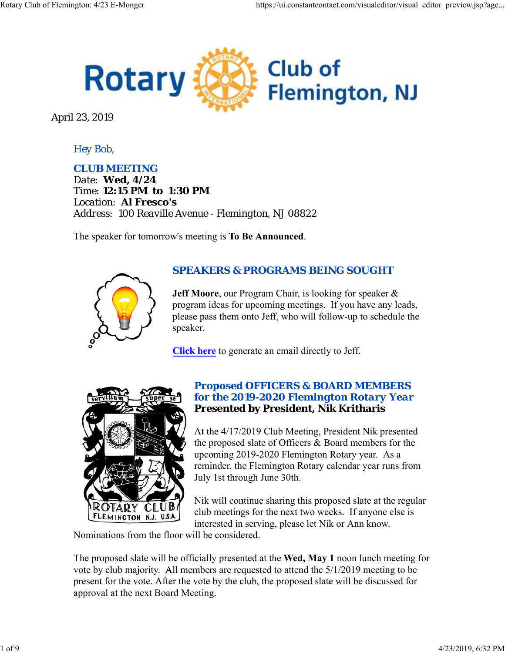

April 23, 2019

# *Hey Bob,*

*CLUB MEETING Date: Wed, 4/24 Time: 12:15 PM to 1:30 PM Location: Al Fresco's Address: 100 Reaville Avenue - Flemington, NJ 08822*

The speaker for tomorrow's meeting is **To Be Announced**.



## *SPEAKERS & PROGRAMS BEING SOUGHT*

**Jeff Moore**, our Program Chair, is looking for speaker & program ideas for upcoming meetings. If you have any leads, please pass them onto Jeff, who will follow-up to schedule the speaker.

**Click here** to generate an email directly to Jeff.



#### *Proposed OFFICERS & BOARD MEMBERS for the 2019-2020 Flemington Rotary Year* **Presented by President, Nik Kritharis**

At the 4/17/2019 Club Meeting, President Nik presented the proposed slate of Officers & Board members for the upcoming 2019-2020 Flemington Rotary year. As a reminder, the Flemington Rotary calendar year runs from July 1st through June 30th.

Nik will continue sharing this proposed slate at the regular club meetings for the next two weeks. If anyone else is interested in serving, please let Nik or Ann know.

Nominations from the floor will be considered.

The proposed slate will be officially presented at the **Wed, May 1** noon lunch meeting for vote by club majority. All members are requested to attend the 5/1/2019 meeting to be present for the vote. After the vote by the club, the proposed slate will be discussed for approval at the next Board Meeting.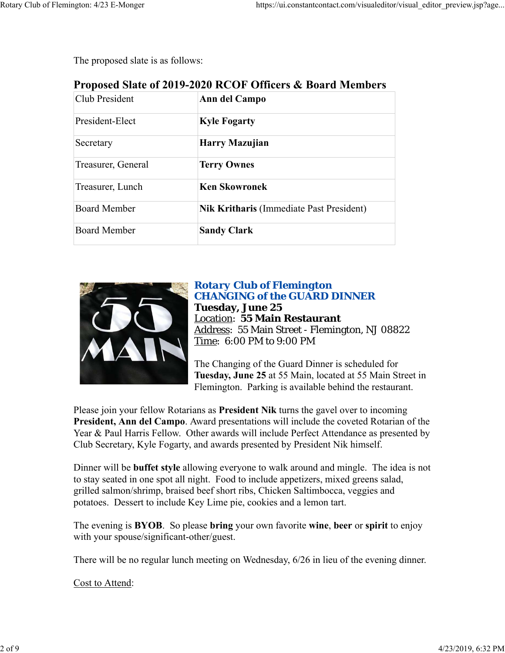The proposed slate is as follows:

| Proposed Slate of 2019-2020 RCOF Officers & Board Members |
|-----------------------------------------------------------|
|-----------------------------------------------------------|

| Club President      | Ann del Campo                                   |
|---------------------|-------------------------------------------------|
| President-Elect     | <b>Kyle Fogarty</b>                             |
| Secretary           | Harry Mazujian                                  |
| Treasurer, General  | <b>Terry Ownes</b>                              |
| Treasurer, Lunch    | <b>Ken Skowronek</b>                            |
| <b>Board Member</b> | <b>Nik Kritharis (Immediate Past President)</b> |
| <b>Board Member</b> | <b>Sandy Clark</b>                              |



## *Rotary Club of Flemington CHANGING of the GUARD DINNER* **Tuesday, June 25** Location: **55 Main Restaurant** Address: 55 Main Street - Flemington, NJ 08822 Time: 6:00 PM to 9:00 PM

The Changing of the Guard Dinner is scheduled for **Tuesday, June 25** at 55 Main, located at 55 Main Street in Flemington. Parking is available behind the restaurant.

Please join your fellow Rotarians as **President Nik** turns the gavel over to incoming **President, Ann del Campo**. Award presentations will include the coveted Rotarian of the Year & Paul Harris Fellow. Other awards will include Perfect Attendance as presented by Club Secretary, Kyle Fogarty, and awards presented by President Nik himself.

Dinner will be **buffet style** allowing everyone to walk around and mingle. The idea is not to stay seated in one spot all night. Food to include appetizers, mixed greens salad, grilled salmon/shrimp, braised beef short ribs, Chicken Saltimbocca, veggies and potatoes. Dessert to include Key Lime pie, cookies and a lemon tart.

The evening is **BYOB**. So please **bring** your own favorite **wine**, **beer** or **spirit** to enjoy with your spouse/significant-other/guest.

There will be no regular lunch meeting on Wednesday, 6/26 in lieu of the evening dinner.

Cost to Attend: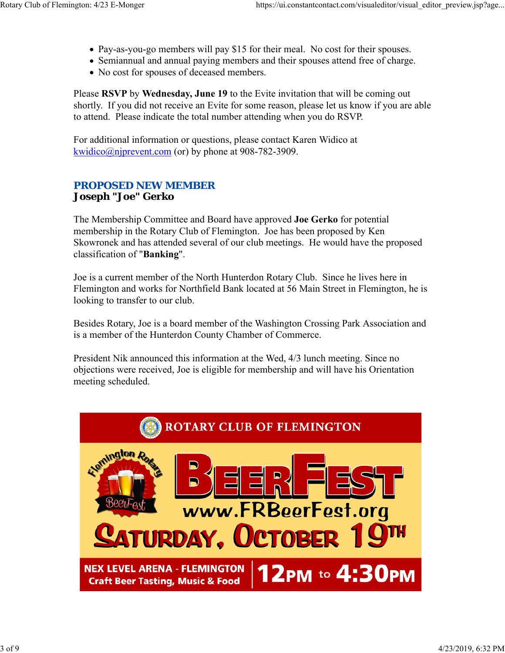- Pay-as-you-go members will pay \$15 for their meal. No cost for their spouses.
- Semiannual and annual paying members and their spouses attend free of charge.
- No cost for spouses of deceased members.

Please **RSVP** by **Wednesday, June 19** to the Evite invitation that will be coming out shortly. If you did not receive an Evite for some reason, please let us know if you are able to attend. Please indicate the total number attending when you do RSVP.

For additional information or questions, please contact Karen Widico at  $kwidico@njprevent.com$  (or) by phone at 908-782-3909.

## *PROPOSED NEW MEMBER* **Joseph "Joe" Gerko**

The Membership Committee and Board have approved **Joe Gerko** for potential membership in the Rotary Club of Flemington. Joe has been proposed by Ken Skowronek and has attended several of our club meetings. He would have the proposed classification of "**Banking**".

Joe is a current member of the North Hunterdon Rotary Club. Since he lives here in Flemington and works for Northfield Bank located at 56 Main Street in Flemington, he is looking to transfer to our club.

Besides Rotary, Joe is a board member of the Washington Crossing Park Association and is a member of the Hunterdon County Chamber of Commerce.

President Nik announced this information at the Wed, 4/3 lunch meeting. Since no objections were received, Joe is eligible for membership and will have his Orientation meeting scheduled.

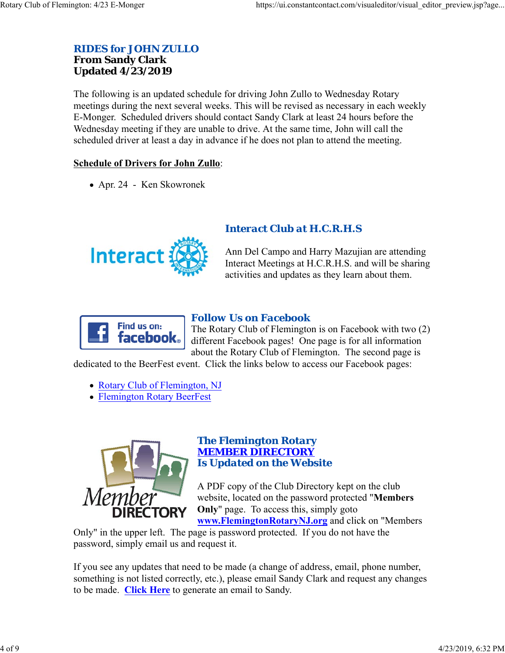#### *RIDES for JOHN ZULLO* **From Sandy Clark Updated 4/23/2019**

The following is an updated schedule for driving John Zullo to Wednesday Rotary meetings during the next several weeks. This will be revised as necessary in each weekly E-Monger. Scheduled drivers should contact Sandy Clark at least 24 hours before the Wednesday meeting if they are unable to drive. At the same time, John will call the scheduled driver at least a day in advance if he does not plan to attend the meeting.

#### **Schedule of Drivers for John Zullo**:

Apr. 24 - Ken Skowronek



## *Interact Club at H.C.R.H.S*

Ann Del Campo and Harry Mazujian are attending Interact Meetings at H.C.R.H.S. and will be sharing activities and updates as they learn about them.



## *Follow Us on Facebook*

The Rotary Club of Flemington is on Facebook with two (2) different Facebook pages! One page is for all information about the Rotary Club of Flemington. The second page is

dedicated to the BeerFest event. Click the links below to access our Facebook pages:

- Rotary Club of Flemington, NJ
- Flemington Rotary BeerFest



#### *The Flemington Rotary MEMBER DIRECTORY Is Updated on the Website*

A PDF copy of the Club Directory kept on the club website, located on the password protected "**Members Only**" page. To access this, simply goto **www.FlemingtonRotaryNJ.org** and click on "Members

Only" in the upper left. The page is password protected. If you do not have the password, simply email us and request it.

If you see any updates that need to be made (a change of address, email, phone number, something is not listed correctly, etc.), please email Sandy Clark and request any changes to be made. **Click Here** to generate an email to Sandy.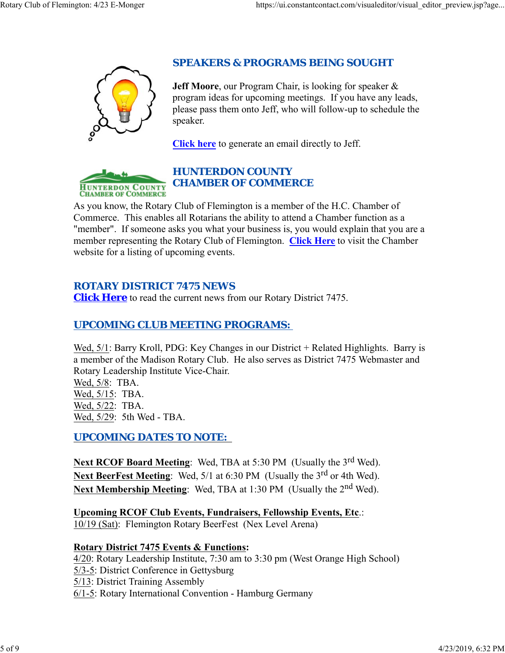

## *SPEAKERS & PROGRAMS BEING SOUGHT*

**Jeff Moore**, our Program Chair, is looking for speaker & program ideas for upcoming meetings. If you have any leads, please pass them onto Jeff, who will follow-up to schedule the speaker.

**Click here** to generate an email directly to Jeff.



## *HUNTERDON COUNTY CHAMBER OF COMMERCE*

As you know, the Rotary Club of Flemington is a member of the H.C. Chamber of Commerce. This enables all Rotarians the ability to attend a Chamber function as a "member". If someone asks you what your business is, you would explain that you are a member representing the Rotary Club of Flemington. **Click Here** to visit the Chamber website for a listing of upcoming events.

# *ROTARY DISTRICT 7475 NEWS*

**Click Here** to read the current news from our Rotary District 7475.

# *UPCOMING CLUB MEETING PROGRAMS:*

Wed, 5/1: Barry Kroll, PDG: Key Changes in our District + Related Highlights. Barry is a member of the Madison Rotary Club. He also serves as District 7475 Webmaster and Rotary Leadership Institute Vice-Chair.

Wed, 5/8: TBA. Wed, 5/15: TBA. Wed, 5/22: TBA. Wed, 5/29: 5th Wed - TBA.

*UPCOMING DATES TO NOTE:* 

**Next RCOF Board Meeting:** Wed, TBA at 5:30 PM (Usually the 3<sup>rd</sup> Wed). Next BeerFest Meeting: Wed, 5/1 at 6:30 PM (Usually the 3<sup>rd</sup> or 4th Wed). Next Membership Meeting: Wed, TBA at 1:30 PM (Usually the 2<sup>nd</sup> Wed).

**Upcoming RCOF Club Events, Fundraisers, Fellowship Events, Etc**.: 10/19 (Sat): Flemington Rotary BeerFest (Nex Level Arena)

#### **Rotary District 7475 Events & Functions:**

4/20: Rotary Leadership Institute, 7:30 am to 3:30 pm (West Orange High School)

- 5/3-5: District Conference in Gettysburg
- 5/13: District Training Assembly

6/1-5: Rotary International Convention - Hamburg Germany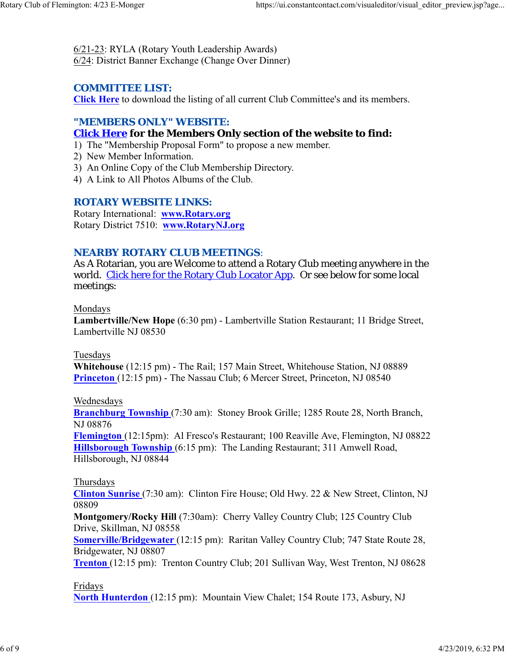6/21-23: RYLA (Rotary Youth Leadership Awards) 6/24: District Banner Exchange (Change Over Dinner)

## *COMMITTEE LIST:*

**Click Here** to download the listing of all current Club Committee's and its members.

## *"MEMBERS ONLY" WEBSITE:*

## **Click Here for the Members Only section of the website to find:**

- 1) The "Membership Proposal Form" to propose a new member.
- 2) New Member Information.
- 3) An Online Copy of the Club Membership Directory.
- 4) A Link to All Photos Albums of the Club.

#### *ROTARY WEBSITE LINKS:*

Rotary International: **www.Rotary.org** Rotary District 7510: **www.RotaryNJ.org**

#### *NEARBY ROTARY CLUB MEETINGS:*

As A Rotarian, you are Welcome to attend a Rotary Club meeting anywhere in the world. Click here for the Rotary Club Locator App. Or see below for some local meetings:

#### Mondays

**Lambertville/New Hope** (6:30 pm) - Lambertville Station Restaurant; 11 Bridge Street, Lambertville NJ 08530

#### Tuesdays

**Whitehouse** (12:15 pm) - The Rail; 157 Main Street, Whitehouse Station, NJ 08889 **Princeton** (12:15 pm) - The Nassau Club; 6 Mercer Street, Princeton, NJ 08540

#### Wednesdays

**Branchburg Township** (7:30 am): Stoney Brook Grille; 1285 Route 28, North Branch, NJ 08876

**Flemington** (12:15pm): Al Fresco's Restaurant; 100 Reaville Ave, Flemington, NJ 08822 **Hillsborough Township** (6:15 pm): The Landing Restaurant; 311 Amwell Road, Hillsborough, NJ 08844

#### Thursdays

**Clinton Sunrise** (7:30 am): Clinton Fire House; Old Hwy. 22 & New Street, Clinton, NJ 08809

**Montgomery/Rocky Hill** (7:30am): Cherry Valley Country Club; 125 Country Club Drive, Skillman, NJ 08558

**Somerville/Bridgewater** (12:15 pm): Raritan Valley Country Club; 747 State Route 28, Bridgewater, NJ 08807

**Trenton** (12:15 pm): Trenton Country Club; 201 Sullivan Way, West Trenton, NJ 08628

#### Fridays

**North Hunterdon** (12:15 pm): Mountain View Chalet; 154 Route 173, Asbury, NJ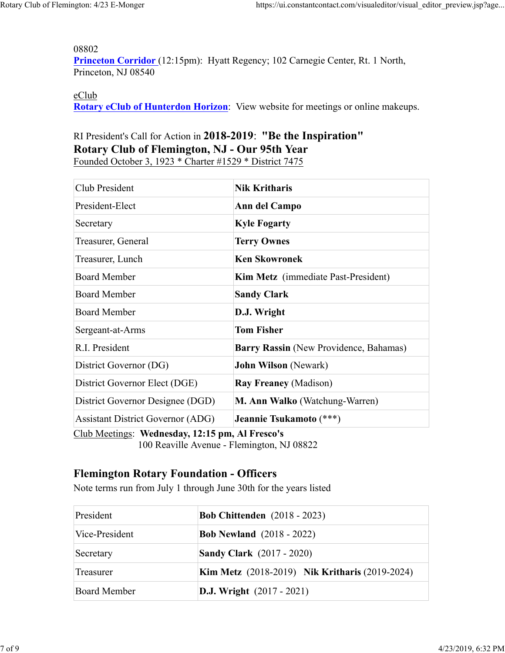08802

Princeton Corridor (12:15pm): Hyatt Regency; 102 Carnegie Center, Rt. 1 North, Princeton, NJ 08540

#### eClub

**Rotary eClub of Hunterdon Horizon**: View website for meetings or online makeups.

# RI President's Call for Action in **2018-2019**: **"Be the Inspiration" Rotary Club of Flemington, NJ - Our 95th Year**

Founded October 3, 1923 \* Charter #1529 \* District 7475

| Club President                                  | <b>Nik Kritharis</b>                       |  |
|-------------------------------------------------|--------------------------------------------|--|
| President-Elect                                 | Ann del Campo                              |  |
| Secretary                                       | <b>Kyle Fogarty</b>                        |  |
| Treasurer, General                              | <b>Terry Ownes</b>                         |  |
| Treasurer, Lunch                                | <b>Ken Skowronek</b>                       |  |
| <b>Board Member</b>                             | <b>Kim Metz</b> (immediate Past-President) |  |
| <b>Board Member</b>                             | <b>Sandy Clark</b>                         |  |
| <b>Board Member</b>                             | D.J. Wright                                |  |
| Sergeant-at-Arms                                | <b>Tom Fisher</b>                          |  |
| R.I. President                                  | Barry Rassin (New Providence, Bahamas)     |  |
| District Governor (DG)                          | <b>John Wilson</b> (Newark)                |  |
| District Governor Elect (DGE)                   | <b>Ray Freaney (Madison)</b>               |  |
| District Governor Designee (DGD)                | M. Ann Walko (Watchung-Warren)             |  |
| <b>Assistant District Governor (ADG)</b>        | Jeannie Tsukamoto (***)                    |  |
| Club Meetings: Wednesday, 12:15 pm, Al Fresco's |                                            |  |

100 Reaville Avenue - Flemington, NJ 08822

## **Flemington Rotary Foundation - Officers**

Note terms run from July 1 through June 30th for the years listed

| President      | <b>Bob Chittenden</b> (2018 - 2023)                   |
|----------------|-------------------------------------------------------|
| Vice-President | <b>Bob Newland</b> (2018 - 2022)                      |
| Secretary      | <b>Sandy Clark</b> (2017 - 2020)                      |
| Treasurer      | <b>Kim Metz</b> (2018-2019) Nik Kritharis (2019-2024) |
| Board Member   | <b>D.J.</b> Wright $(2017 - 2021)$                    |